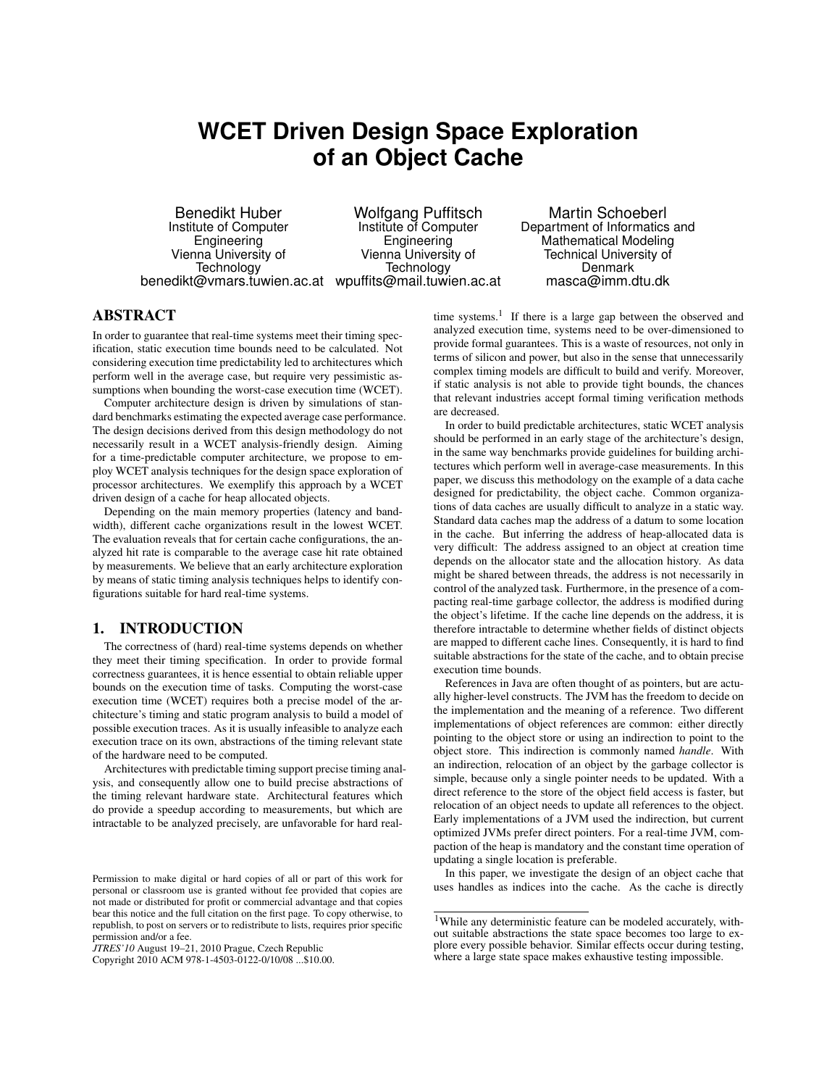# **WCET Driven Design Space Exploration of an Object Cache**

Benedikt Huber Institute of Computer Engineering Vienna University of Technology benedikt@vmars.tuwien.ac.at wpuffits@mail.tuwien.ac.at

Wolfgang Puffitsch Institute of Computer Engineering Vienna University of Technology

Martin Schoeberl Department of Informatics and Mathematical Modeling Technical University of Denmark masca@imm.dtu.dk

## ABSTRACT

In order to guarantee that real-time systems meet their timing specification, static execution time bounds need to be calculated. Not considering execution time predictability led to architectures which perform well in the average case, but require very pessimistic assumptions when bounding the worst-case execution time (WCET).

Computer architecture design is driven by simulations of standard benchmarks estimating the expected average case performance. The design decisions derived from this design methodology do not necessarily result in a WCET analysis-friendly design. Aiming for a time-predictable computer architecture, we propose to employ WCET analysis techniques for the design space exploration of processor architectures. We exemplify this approach by a WCET driven design of a cache for heap allocated objects.

Depending on the main memory properties (latency and bandwidth), different cache organizations result in the lowest WCET. The evaluation reveals that for certain cache configurations, the analyzed hit rate is comparable to the average case hit rate obtained by measurements. We believe that an early architecture exploration by means of static timing analysis techniques helps to identify configurations suitable for hard real-time systems.

## 1. INTRODUCTION

The correctness of (hard) real-time systems depends on whether they meet their timing specification. In order to provide formal correctness guarantees, it is hence essential to obtain reliable upper bounds on the execution time of tasks. Computing the worst-case execution time (WCET) requires both a precise model of the architecture's timing and static program analysis to build a model of possible execution traces. As it is usually infeasible to analyze each execution trace on its own, abstractions of the timing relevant state of the hardware need to be computed.

Architectures with predictable timing support precise timing analysis, and consequently allow one to build precise abstractions of the timing relevant hardware state. Architectural features which do provide a speedup according to measurements, but which are intractable to be analyzed precisely, are unfavorable for hard realtime systems.<sup>1</sup> If there is a large gap between the observed and analyzed execution time, systems need to be over-dimensioned to provide formal guarantees. This is a waste of resources, not only in terms of silicon and power, but also in the sense that unnecessarily complex timing models are difficult to build and verify. Moreover, if static analysis is not able to provide tight bounds, the chances that relevant industries accept formal timing verification methods are decreased.

In order to build predictable architectures, static WCET analysis should be performed in an early stage of the architecture's design, in the same way benchmarks provide guidelines for building architectures which perform well in average-case measurements. In this paper, we discuss this methodology on the example of a data cache designed for predictability, the object cache. Common organizations of data caches are usually difficult to analyze in a static way. Standard data caches map the address of a datum to some location in the cache. But inferring the address of heap-allocated data is very difficult: The address assigned to an object at creation time depends on the allocator state and the allocation history. As data might be shared between threads, the address is not necessarily in control of the analyzed task. Furthermore, in the presence of a compacting real-time garbage collector, the address is modified during the object's lifetime. If the cache line depends on the address, it is therefore intractable to determine whether fields of distinct objects are mapped to different cache lines. Consequently, it is hard to find suitable abstractions for the state of the cache, and to obtain precise execution time bounds.

References in Java are often thought of as pointers, but are actually higher-level constructs. The JVM has the freedom to decide on the implementation and the meaning of a reference. Two different implementations of object references are common: either directly pointing to the object store or using an indirection to point to the object store. This indirection is commonly named *handle*. With an indirection, relocation of an object by the garbage collector is simple, because only a single pointer needs to be updated. With a direct reference to the store of the object field access is faster, but relocation of an object needs to update all references to the object. Early implementations of a JVM used the indirection, but current optimized JVMs prefer direct pointers. For a real-time JVM, compaction of the heap is mandatory and the constant time operation of updating a single location is preferable.

In this paper, we investigate the design of an object cache that uses handles as indices into the cache. As the cache is directly

Permission to make digital or hard copies of all or part of this work for personal or classroom use is granted without fee provided that copies are not made or distributed for profit or commercial advantage and that copies bear this notice and the full citation on the first page. To copy otherwise, to republish, to post on servers or to redistribute to lists, requires prior specific permission and/or a fee.

*JTRES'10* August 19–21, 2010 Prague, Czech Republic

Copyright 2010 ACM 978-1-4503-0122-0/10/08 ...\$10.00.

<sup>&</sup>lt;sup>1</sup>While any deterministic feature can be modeled accurately, without suitable abstractions the state space becomes too large to explore every possible behavior. Similar effects occur during testing, where a large state space makes exhaustive testing impossible.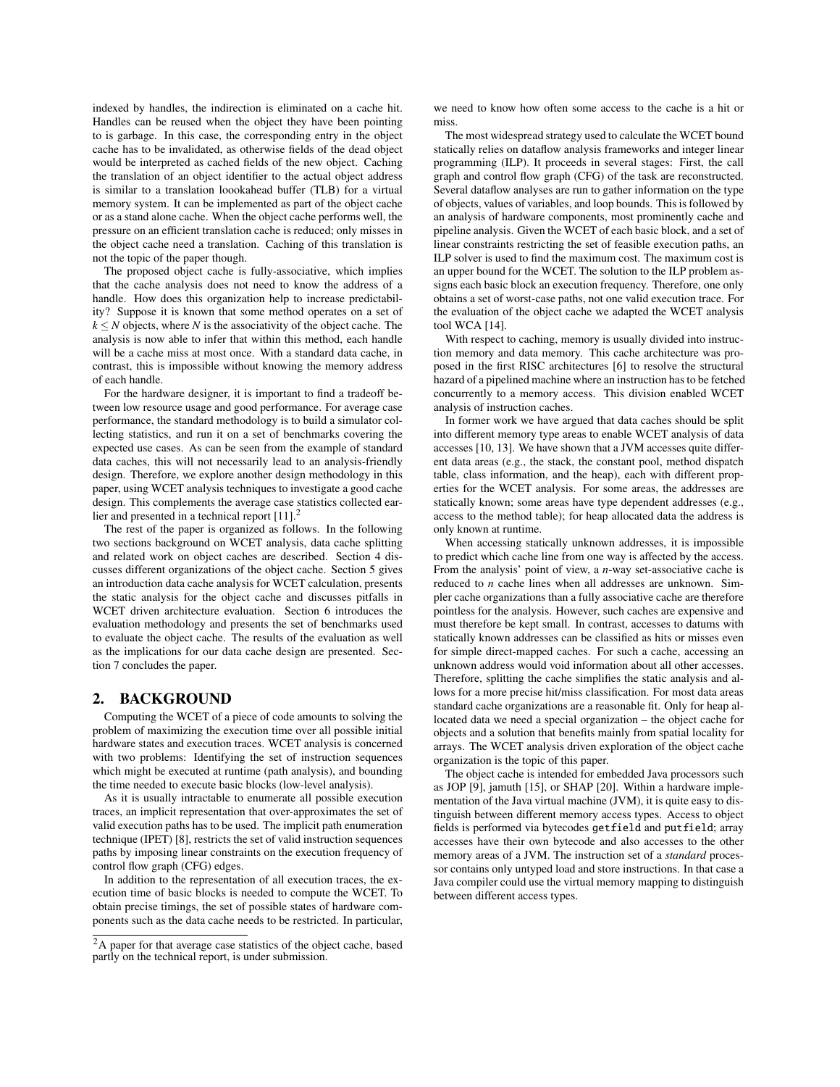indexed by handles, the indirection is eliminated on a cache hit. Handles can be reused when the object they have been pointing to is garbage. In this case, the corresponding entry in the object cache has to be invalidated, as otherwise fields of the dead object would be interpreted as cached fields of the new object. Caching the translation of an object identifier to the actual object address is similar to a translation loookahead buffer (TLB) for a virtual memory system. It can be implemented as part of the object cache or as a stand alone cache. When the object cache performs well, the pressure on an efficient translation cache is reduced; only misses in the object cache need a translation. Caching of this translation is not the topic of the paper though.

The proposed object cache is fully-associative, which implies that the cache analysis does not need to know the address of a handle. How does this organization help to increase predictability? Suppose it is known that some method operates on a set of  $k \leq N$  objects, where *N* is the associativity of the object cache. The analysis is now able to infer that within this method, each handle will be a cache miss at most once. With a standard data cache, in contrast, this is impossible without knowing the memory address of each handle.

For the hardware designer, it is important to find a tradeoff between low resource usage and good performance. For average case performance, the standard methodology is to build a simulator collecting statistics, and run it on a set of benchmarks covering the expected use cases. As can be seen from the example of standard data caches, this will not necessarily lead to an analysis-friendly design. Therefore, we explore another design methodology in this paper, using WCET analysis techniques to investigate a good cache design. This complements the average case statistics collected earlier and presented in a technical report  $[11]$ .<sup>2</sup>

The rest of the paper is organized as follows. In the following two sections background on WCET analysis, data cache splitting and related work on object caches are described. Section 4 discusses different organizations of the object cache. Section 5 gives an introduction data cache analysis for WCET calculation, presents the static analysis for the object cache and discusses pitfalls in WCET driven architecture evaluation. Section 6 introduces the evaluation methodology and presents the set of benchmarks used to evaluate the object cache. The results of the evaluation as well as the implications for our data cache design are presented. Section 7 concludes the paper.

### 2. BACKGROUND

Computing the WCET of a piece of code amounts to solving the problem of maximizing the execution time over all possible initial hardware states and execution traces. WCET analysis is concerned with two problems: Identifying the set of instruction sequences which might be executed at runtime (path analysis), and bounding the time needed to execute basic blocks (low-level analysis).

As it is usually intractable to enumerate all possible execution traces, an implicit representation that over-approximates the set of valid execution paths has to be used. The implicit path enumeration technique (IPET) [8], restricts the set of valid instruction sequences paths by imposing linear constraints on the execution frequency of control flow graph (CFG) edges.

In addition to the representation of all execution traces, the execution time of basic blocks is needed to compute the WCET. To obtain precise timings, the set of possible states of hardware components such as the data cache needs to be restricted. In particular, we need to know how often some access to the cache is a hit or miss.

The most widespread strategy used to calculate the WCET bound statically relies on dataflow analysis frameworks and integer linear programming (ILP). It proceeds in several stages: First, the call graph and control flow graph (CFG) of the task are reconstructed. Several dataflow analyses are run to gather information on the type of objects, values of variables, and loop bounds. This is followed by an analysis of hardware components, most prominently cache and pipeline analysis. Given the WCET of each basic block, and a set of linear constraints restricting the set of feasible execution paths, an ILP solver is used to find the maximum cost. The maximum cost is an upper bound for the WCET. The solution to the ILP problem assigns each basic block an execution frequency. Therefore, one only obtains a set of worst-case paths, not one valid execution trace. For the evaluation of the object cache we adapted the WCET analysis tool WCA [14].

With respect to caching, memory is usually divided into instruction memory and data memory. This cache architecture was proposed in the first RISC architectures [6] to resolve the structural hazard of a pipelined machine where an instruction has to be fetched concurrently to a memory access. This division enabled WCET analysis of instruction caches.

In former work we have argued that data caches should be split into different memory type areas to enable WCET analysis of data accesses [10, 13]. We have shown that a JVM accesses quite different data areas (e.g., the stack, the constant pool, method dispatch table, class information, and the heap), each with different properties for the WCET analysis. For some areas, the addresses are statically known; some areas have type dependent addresses (e.g., access to the method table); for heap allocated data the address is only known at runtime.

When accessing statically unknown addresses, it is impossible to predict which cache line from one way is affected by the access. From the analysis' point of view, a *n*-way set-associative cache is reduced to *n* cache lines when all addresses are unknown. Simpler cache organizations than a fully associative cache are therefore pointless for the analysis. However, such caches are expensive and must therefore be kept small. In contrast, accesses to datums with statically known addresses can be classified as hits or misses even for simple direct-mapped caches. For such a cache, accessing an unknown address would void information about all other accesses. Therefore, splitting the cache simplifies the static analysis and allows for a more precise hit/miss classification. For most data areas standard cache organizations are a reasonable fit. Only for heap allocated data we need a special organization – the object cache for objects and a solution that benefits mainly from spatial locality for arrays. The WCET analysis driven exploration of the object cache organization is the topic of this paper.

The object cache is intended for embedded Java processors such as JOP [9], jamuth [15], or SHAP [20]. Within a hardware implementation of the Java virtual machine (JVM), it is quite easy to distinguish between different memory access types. Access to object fields is performed via bytecodes getfield and putfield; array accesses have their own bytecode and also accesses to the other memory areas of a JVM. The instruction set of a *standard* processor contains only untyped load and store instructions. In that case a Java compiler could use the virtual memory mapping to distinguish between different access types.

<sup>2</sup>A paper for that average case statistics of the object cache, based partly on the technical report, is under submission.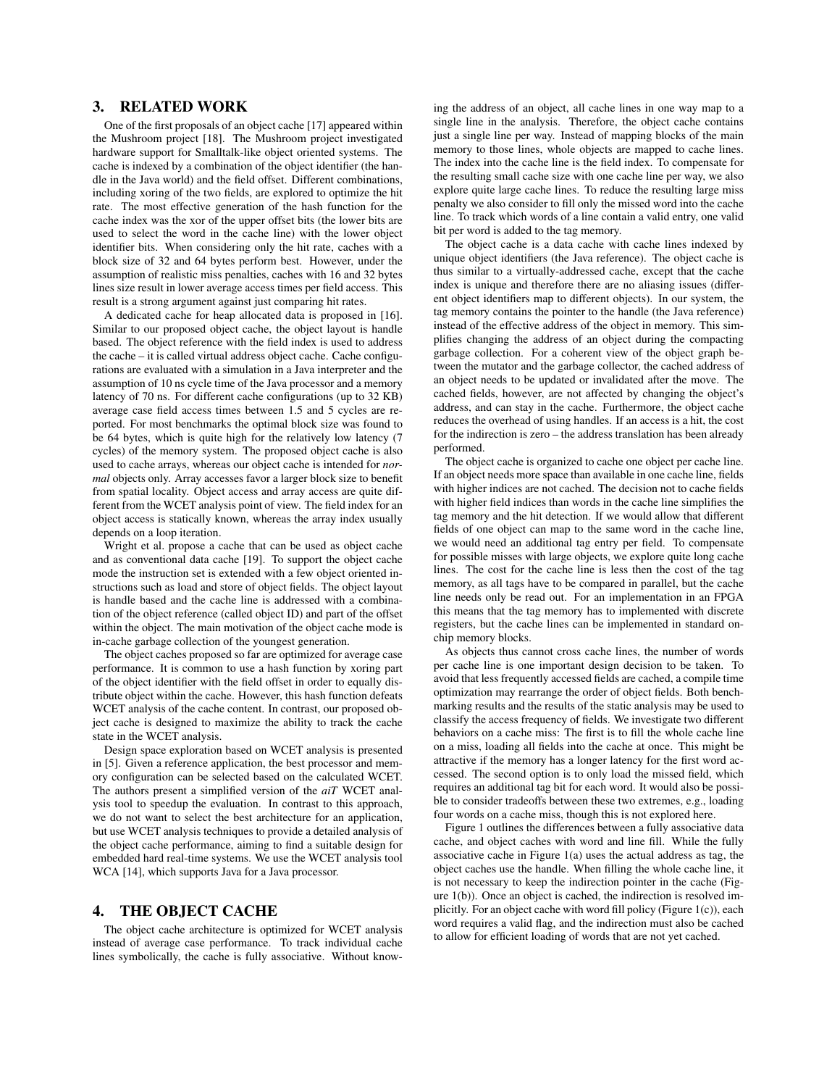## 3. RELATED WORK

One of the first proposals of an object cache [17] appeared within the Mushroom project [18]. The Mushroom project investigated hardware support for Smalltalk-like object oriented systems. The cache is indexed by a combination of the object identifier (the handle in the Java world) and the field offset. Different combinations, including xoring of the two fields, are explored to optimize the hit rate. The most effective generation of the hash function for the cache index was the xor of the upper offset bits (the lower bits are used to select the word in the cache line) with the lower object identifier bits. When considering only the hit rate, caches with a block size of 32 and 64 bytes perform best. However, under the assumption of realistic miss penalties, caches with 16 and 32 bytes lines size result in lower average access times per field access. This result is a strong argument against just comparing hit rates.

A dedicated cache for heap allocated data is proposed in [16]. Similar to our proposed object cache, the object layout is handle based. The object reference with the field index is used to address the cache – it is called virtual address object cache. Cache configurations are evaluated with a simulation in a Java interpreter and the assumption of 10 ns cycle time of the Java processor and a memory latency of 70 ns. For different cache configurations (up to 32 KB) average case field access times between 1.5 and 5 cycles are reported. For most benchmarks the optimal block size was found to be 64 bytes, which is quite high for the relatively low latency (7 cycles) of the memory system. The proposed object cache is also used to cache arrays, whereas our object cache is intended for *normal* objects only. Array accesses favor a larger block size to benefit from spatial locality. Object access and array access are quite different from the WCET analysis point of view. The field index for an object access is statically known, whereas the array index usually depends on a loop iteration.

Wright et al. propose a cache that can be used as object cache and as conventional data cache [19]. To support the object cache mode the instruction set is extended with a few object oriented instructions such as load and store of object fields. The object layout is handle based and the cache line is addressed with a combination of the object reference (called object ID) and part of the offset within the object. The main motivation of the object cache mode is in-cache garbage collection of the youngest generation.

The object caches proposed so far are optimized for average case performance. It is common to use a hash function by xoring part of the object identifier with the field offset in order to equally distribute object within the cache. However, this hash function defeats WCET analysis of the cache content. In contrast, our proposed object cache is designed to maximize the ability to track the cache state in the WCET analysis.

Design space exploration based on WCET analysis is presented in [5]. Given a reference application, the best processor and memory configuration can be selected based on the calculated WCET. The authors present a simplified version of the *aiT* WCET analysis tool to speedup the evaluation. In contrast to this approach, we do not want to select the best architecture for an application, but use WCET analysis techniques to provide a detailed analysis of the object cache performance, aiming to find a suitable design for embedded hard real-time systems. We use the WCET analysis tool WCA [14], which supports Java for a Java processor.

#### 4. THE OBJECT CACHE

The object cache architecture is optimized for WCET analysis instead of average case performance. To track individual cache lines symbolically, the cache is fully associative. Without knowing the address of an object, all cache lines in one way map to a single line in the analysis. Therefore, the object cache contains just a single line per way. Instead of mapping blocks of the main memory to those lines, whole objects are mapped to cache lines. The index into the cache line is the field index. To compensate for the resulting small cache size with one cache line per way, we also explore quite large cache lines. To reduce the resulting large miss penalty we also consider to fill only the missed word into the cache line. To track which words of a line contain a valid entry, one valid bit per word is added to the tag memory.

The object cache is a data cache with cache lines indexed by unique object identifiers (the Java reference). The object cache is thus similar to a virtually-addressed cache, except that the cache index is unique and therefore there are no aliasing issues (different object identifiers map to different objects). In our system, the tag memory contains the pointer to the handle (the Java reference) instead of the effective address of the object in memory. This simplifies changing the address of an object during the compacting garbage collection. For a coherent view of the object graph between the mutator and the garbage collector, the cached address of an object needs to be updated or invalidated after the move. The cached fields, however, are not affected by changing the object's address, and can stay in the cache. Furthermore, the object cache reduces the overhead of using handles. If an access is a hit, the cost for the indirection is zero – the address translation has been already performed.

The object cache is organized to cache one object per cache line. If an object needs more space than available in one cache line, fields with higher indices are not cached. The decision not to cache fields with higher field indices than words in the cache line simplifies the tag memory and the hit detection. If we would allow that different fields of one object can map to the same word in the cache line, we would need an additional tag entry per field. To compensate for possible misses with large objects, we explore quite long cache lines. The cost for the cache line is less then the cost of the tag memory, as all tags have to be compared in parallel, but the cache line needs only be read out. For an implementation in an FPGA this means that the tag memory has to implemented with discrete registers, but the cache lines can be implemented in standard onchip memory blocks.

As objects thus cannot cross cache lines, the number of words per cache line is one important design decision to be taken. To avoid that less frequently accessed fields are cached, a compile time optimization may rearrange the order of object fields. Both benchmarking results and the results of the static analysis may be used to classify the access frequency of fields. We investigate two different behaviors on a cache miss: The first is to fill the whole cache line on a miss, loading all fields into the cache at once. This might be attractive if the memory has a longer latency for the first word accessed. The second option is to only load the missed field, which requires an additional tag bit for each word. It would also be possible to consider tradeoffs between these two extremes, e.g., loading four words on a cache miss, though this is not explored here.

Figure 1 outlines the differences between a fully associative data cache, and object caches with word and line fill. While the fully associative cache in Figure 1(a) uses the actual address as tag, the object caches use the handle. When filling the whole cache line, it is not necessary to keep the indirection pointer in the cache (Figure 1(b)). Once an object is cached, the indirection is resolved implicitly. For an object cache with word fill policy (Figure 1(c)), each word requires a valid flag, and the indirection must also be cached to allow for efficient loading of words that are not yet cached.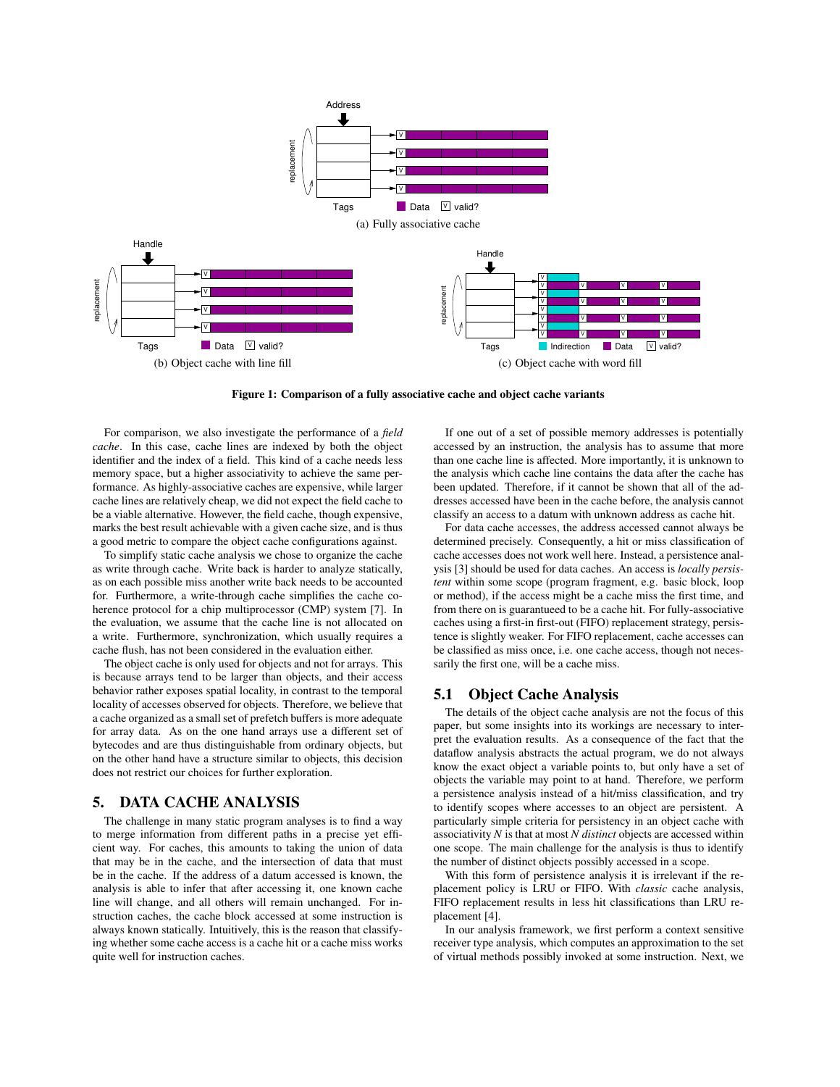

Figure 1: Comparison of a fully associative cache and object cache variants

For comparison, we also investigate the performance of a *field cache*. In this case, cache lines are indexed by both the object identifier and the index of a field. This kind of a cache needs less memory space, but a higher associativity to achieve the same performance. As highly-associative caches are expensive, while larger cache lines are relatively cheap, we did not expect the field cache to be a viable alternative. However, the field cache, though expensive, marks the best result achievable with a given cache size, and is thus a good metric to compare the object cache configurations against.

To simplify static cache analysis we chose to organize the cache as write through cache. Write back is harder to analyze statically, as on each possible miss another write back needs to be accounted for. Furthermore, a write-through cache simplifies the cache coherence protocol for a chip multiprocessor (CMP) system [7]. In the evaluation, we assume that the cache line is not allocated on a write. Furthermore, synchronization, which usually requires a cache flush, has not been considered in the evaluation either.

The object cache is only used for objects and not for arrays. This is because arrays tend to be larger than objects, and their access behavior rather exposes spatial locality, in contrast to the temporal locality of accesses observed for objects. Therefore, we believe that a cache organized as a small set of prefetch buffers is more adequate for array data. As on the one hand arrays use a different set of bytecodes and are thus distinguishable from ordinary objects, but on the other hand have a structure similar to objects, this decision does not restrict our choices for further exploration.

#### 5. DATA CACHE ANALYSIS

The challenge in many static program analyses is to find a way to merge information from different paths in a precise yet efficient way. For caches, this amounts to taking the union of data that may be in the cache, and the intersection of data that must be in the cache. If the address of a datum accessed is known, the analysis is able to infer that after accessing it, one known cache line will change, and all others will remain unchanged. For instruction caches, the cache block accessed at some instruction is always known statically. Intuitively, this is the reason that classifying whether some cache access is a cache hit or a cache miss works quite well for instruction caches.

If one out of a set of possible memory addresses is potentially accessed by an instruction, the analysis has to assume that more than one cache line is affected. More importantly, it is unknown to the analysis which cache line contains the data after the cache has been updated. Therefore, if it cannot be shown that all of the addresses accessed have been in the cache before, the analysis cannot classify an access to a datum with unknown address as cache hit.

For data cache accesses, the address accessed cannot always be determined precisely. Consequently, a hit or miss classification of cache accesses does not work well here. Instead, a persistence analysis [3] should be used for data caches. An access is *locally persistent* within some scope (program fragment, e.g. basic block, loop or method), if the access might be a cache miss the first time, and from there on is guarantueed to be a cache hit. For fully-associative caches using a first-in first-out (FIFO) replacement strategy, persistence is slightly weaker. For FIFO replacement, cache accesses can be classified as miss once, i.e. one cache access, though not necessarily the first one, will be a cache miss.

## 5.1 Object Cache Analysis

The details of the object cache analysis are not the focus of this paper, but some insights into its workings are necessary to interpret the evaluation results. As a consequence of the fact that the dataflow analysis abstracts the actual program, we do not always know the exact object a variable points to, but only have a set of objects the variable may point to at hand. Therefore, we perform a persistence analysis instead of a hit/miss classification, and try to identify scopes where accesses to an object are persistent. A particularly simple criteria for persistency in an object cache with associativity *N* is that at most *N distinct* objects are accessed within one scope. The main challenge for the analysis is thus to identify the number of distinct objects possibly accessed in a scope.

With this form of persistence analysis it is irrelevant if the replacement policy is LRU or FIFO. With *classic* cache analysis, FIFO replacement results in less hit classifications than LRU replacement [4].

In our analysis framework, we first perform a context sensitive receiver type analysis, which computes an approximation to the set of virtual methods possibly invoked at some instruction. Next, we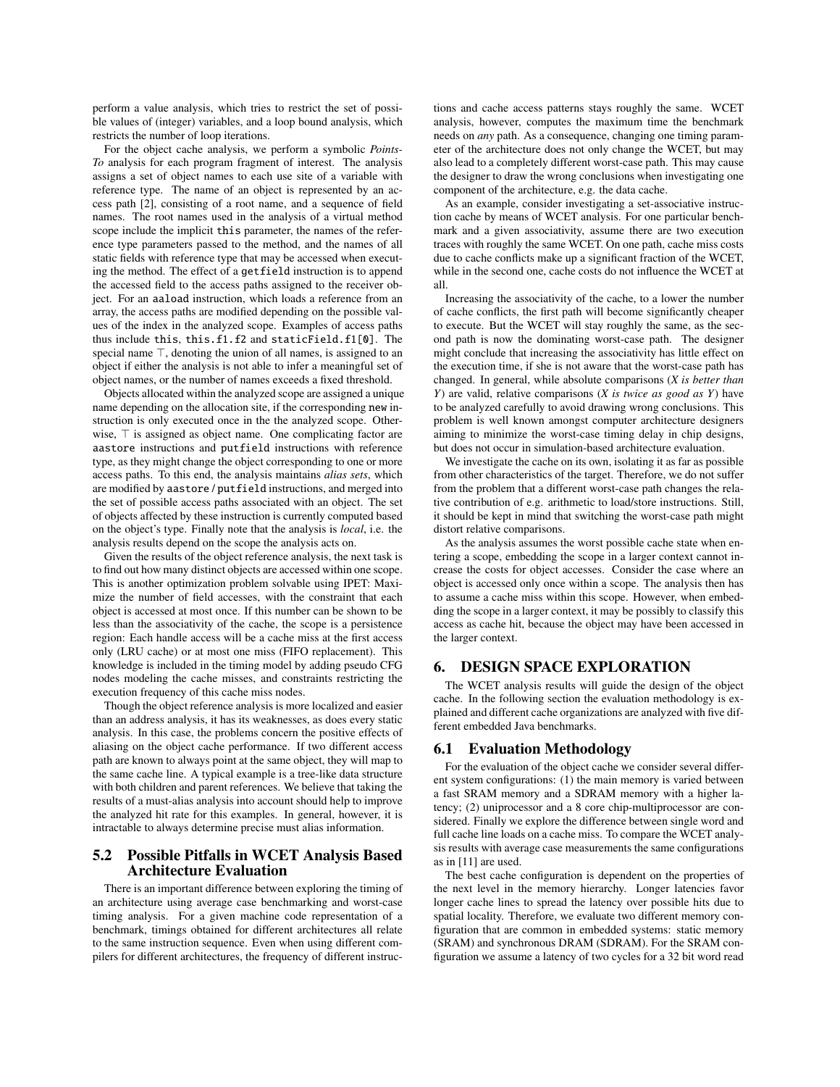perform a value analysis, which tries to restrict the set of possible values of (integer) variables, and a loop bound analysis, which restricts the number of loop iterations.

For the object cache analysis, we perform a symbolic *Points-To* analysis for each program fragment of interest. The analysis assigns a set of object names to each use site of a variable with reference type. The name of an object is represented by an access path [2], consisting of a root name, and a sequence of field names. The root names used in the analysis of a virtual method scope include the implicit this parameter, the names of the reference type parameters passed to the method, and the names of all static fields with reference type that may be accessed when executing the method. The effect of a getfield instruction is to append the accessed field to the access paths assigned to the receiver object. For an aaload instruction, which loads a reference from an array, the access paths are modified depending on the possible values of the index in the analyzed scope. Examples of access paths thus include this, this.f1.f2 and staticField.f1[0]. The special name  $\top$ , denoting the union of all names, is assigned to an object if either the analysis is not able to infer a meaningful set of object names, or the number of names exceeds a fixed threshold.

Objects allocated within the analyzed scope are assigned a unique name depending on the allocation site, if the corresponding new instruction is only executed once in the the analyzed scope. Otherwise,  $\top$  is assigned as object name. One complicating factor are aastore instructions and putfield instructions with reference type, as they might change the object corresponding to one or more access paths. To this end, the analysis maintains *alias sets*, which are modified by aastore / putfield instructions, and merged into the set of possible access paths associated with an object. The set of objects affected by these instruction is currently computed based on the object's type. Finally note that the analysis is *local*, i.e. the analysis results depend on the scope the analysis acts on.

Given the results of the object reference analysis, the next task is to find out how many distinct objects are accessed within one scope. This is another optimization problem solvable using IPET: Maximize the number of field accesses, with the constraint that each object is accessed at most once. If this number can be shown to be less than the associativity of the cache, the scope is a persistence region: Each handle access will be a cache miss at the first access only (LRU cache) or at most one miss (FIFO replacement). This knowledge is included in the timing model by adding pseudo CFG nodes modeling the cache misses, and constraints restricting the execution frequency of this cache miss nodes.

Though the object reference analysis is more localized and easier than an address analysis, it has its weaknesses, as does every static analysis. In this case, the problems concern the positive effects of aliasing on the object cache performance. If two different access path are known to always point at the same object, they will map to the same cache line. A typical example is a tree-like data structure with both children and parent references. We believe that taking the results of a must-alias analysis into account should help to improve the analyzed hit rate for this examples. In general, however, it is intractable to always determine precise must alias information.

## 5.2 Possible Pitfalls in WCET Analysis Based Architecture Evaluation

There is an important difference between exploring the timing of an architecture using average case benchmarking and worst-case timing analysis. For a given machine code representation of a benchmark, timings obtained for different architectures all relate to the same instruction sequence. Even when using different compilers for different architectures, the frequency of different instructions and cache access patterns stays roughly the same. WCET analysis, however, computes the maximum time the benchmark needs on *any* path. As a consequence, changing one timing parameter of the architecture does not only change the WCET, but may also lead to a completely different worst-case path. This may cause the designer to draw the wrong conclusions when investigating one component of the architecture, e.g. the data cache.

As an example, consider investigating a set-associative instruction cache by means of WCET analysis. For one particular benchmark and a given associativity, assume there are two execution traces with roughly the same WCET. On one path, cache miss costs due to cache conflicts make up a significant fraction of the WCET, while in the second one, cache costs do not influence the WCET at all.

Increasing the associativity of the cache, to a lower the number of cache conflicts, the first path will become significantly cheaper to execute. But the WCET will stay roughly the same, as the second path is now the dominating worst-case path. The designer might conclude that increasing the associativity has little effect on the execution time, if she is not aware that the worst-case path has changed. In general, while absolute comparisons (*X is better than Y*) are valid, relative comparisons (*X is twice as good as Y*) have to be analyzed carefully to avoid drawing wrong conclusions. This problem is well known amongst computer architecture designers aiming to minimize the worst-case timing delay in chip designs, but does not occur in simulation-based architecture evaluation.

We investigate the cache on its own, isolating it as far as possible from other characteristics of the target. Therefore, we do not suffer from the problem that a different worst-case path changes the relative contribution of e.g. arithmetic to load/store instructions. Still, it should be kept in mind that switching the worst-case path might distort relative comparisons.

As the analysis assumes the worst possible cache state when entering a scope, embedding the scope in a larger context cannot increase the costs for object accesses. Consider the case where an object is accessed only once within a scope. The analysis then has to assume a cache miss within this scope. However, when embedding the scope in a larger context, it may be possibly to classify this access as cache hit, because the object may have been accessed in the larger context.

## 6. DESIGN SPACE EXPLORATION

The WCET analysis results will guide the design of the object cache. In the following section the evaluation methodology is explained and different cache organizations are analyzed with five different embedded Java benchmarks.

#### 6.1 Evaluation Methodology

For the evaluation of the object cache we consider several different system configurations: (1) the main memory is varied between a fast SRAM memory and a SDRAM memory with a higher latency; (2) uniprocessor and a 8 core chip-multiprocessor are considered. Finally we explore the difference between single word and full cache line loads on a cache miss. To compare the WCET analysis results with average case measurements the same configurations as in [11] are used.

The best cache configuration is dependent on the properties of the next level in the memory hierarchy. Longer latencies favor longer cache lines to spread the latency over possible hits due to spatial locality. Therefore, we evaluate two different memory configuration that are common in embedded systems: static memory (SRAM) and synchronous DRAM (SDRAM). For the SRAM configuration we assume a latency of two cycles for a 32 bit word read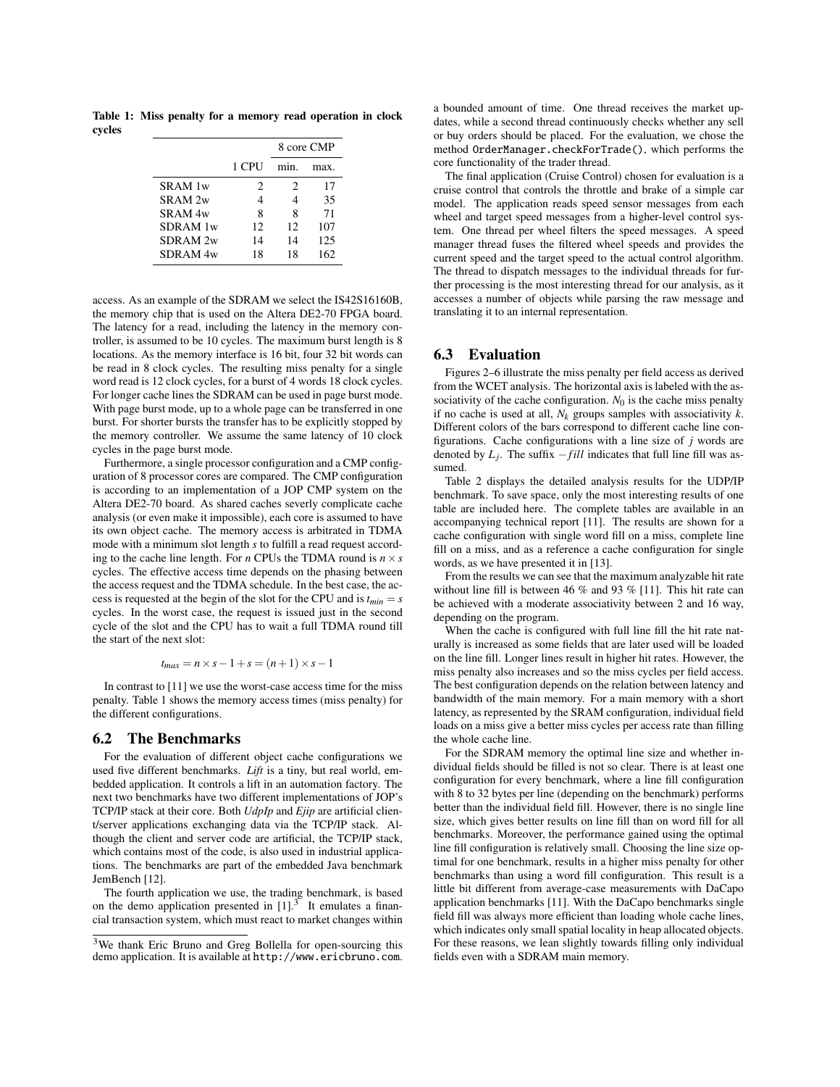Table 1: Miss penalty for a memory read operation in clock cycles

|                     |       | 8 core CMP |      |  |
|---------------------|-------|------------|------|--|
|                     | 1 CPU | min        | max. |  |
| SRAM 1w             | 2     | 2          | 17   |  |
| SRAM <sub>2w</sub>  | 4     | 4          | 35   |  |
| SRAM <sub>4w</sub>  | 8     | 8          | 71   |  |
| SDRAM 1w            | 12    | 12         | 107  |  |
| SDRAM <sub>2w</sub> | 14    | 14         | 125  |  |
| SDRAM <sub>4w</sub> | 18    | 18         | 162  |  |

access. As an example of the SDRAM we select the IS42S16160B, the memory chip that is used on the Altera DE2-70 FPGA board. The latency for a read, including the latency in the memory controller, is assumed to be 10 cycles. The maximum burst length is 8 locations. As the memory interface is 16 bit, four 32 bit words can be read in 8 clock cycles. The resulting miss penalty for a single word read is 12 clock cycles, for a burst of 4 words 18 clock cycles. For longer cache lines the SDRAM can be used in page burst mode. With page burst mode, up to a whole page can be transferred in one burst. For shorter bursts the transfer has to be explicitly stopped by the memory controller. We assume the same latency of 10 clock cycles in the page burst mode.

Furthermore, a single processor configuration and a CMP configuration of 8 processor cores are compared. The CMP configuration is according to an implementation of a JOP CMP system on the Altera DE2-70 board. As shared caches severly complicate cache analysis (or even make it impossible), each core is assumed to have its own object cache. The memory access is arbitrated in TDMA mode with a minimum slot length *s* to fulfill a read request according to the cache line length. For *n* CPUs the TDMA round is  $n \times s$ cycles. The effective access time depends on the phasing between the access request and the TDMA schedule. In the best case, the access is requested at the begin of the slot for the CPU and is  $t_{min} = s$ cycles. In the worst case, the request is issued just in the second cycle of the slot and the CPU has to wait a full TDMA round till the start of the next slot:

$$
t_{max} = n \times s - 1 + s = (n+1) \times s - 1
$$

In contrast to [11] we use the worst-case access time for the miss penalty. Table 1 shows the memory access times (miss penalty) for the different configurations.

#### 6.2 The Benchmarks

For the evaluation of different object cache configurations we used five different benchmarks. *Lift* is a tiny, but real world, embedded application. It controls a lift in an automation factory. The next two benchmarks have two different implementations of JOP's TCP/IP stack at their core. Both *UdpIp* and *Ejip* are artificial client/server applications exchanging data via the TCP/IP stack. Although the client and server code are artificial, the TCP/IP stack, which contains most of the code, is also used in industrial applications. The benchmarks are part of the embedded Java benchmark JemBench [12].

The fourth application we use, the trading benchmark, is based on the demo application presented in  $[1]$ .<sup>3</sup> It emulates a financial transaction system, which must react to market changes within a bounded amount of time. One thread receives the market updates, while a second thread continuously checks whether any sell or buy orders should be placed. For the evaluation, we chose the method OrderManager.checkForTrade(), which performs the core functionality of the trader thread.

The final application (Cruise Control) chosen for evaluation is a cruise control that controls the throttle and brake of a simple car model. The application reads speed sensor messages from each wheel and target speed messages from a higher-level control system. One thread per wheel filters the speed messages. A speed manager thread fuses the filtered wheel speeds and provides the current speed and the target speed to the actual control algorithm. The thread to dispatch messages to the individual threads for further processing is the most interesting thread for our analysis, as it accesses a number of objects while parsing the raw message and translating it to an internal representation.

## 6.3 Evaluation

Figures 2–6 illustrate the miss penalty per field access as derived from the WCET analysis. The horizontal axis is labeled with the associativity of the cache configuration.  $N_0$  is the cache miss penalty if no cache is used at all,  $N_k$  groups samples with associativity  $k$ . Different colors of the bars correspond to different cache line configurations. Cache configurations with a line size of *j* words are denoted by  $L_i$ . The suffix  $-fill$  indicates that full line fill was assumed.

Table 2 displays the detailed analysis results for the UDP/IP benchmark. To save space, only the most interesting results of one table are included here. The complete tables are available in an accompanying technical report [11]. The results are shown for a cache configuration with single word fill on a miss, complete line fill on a miss, and as a reference a cache configuration for single words, as we have presented it in [13].

From the results we can see that the maximum analyzable hit rate without line fill is between 46 % and 93 % [11]. This hit rate can be achieved with a moderate associativity between 2 and 16 way, depending on the program.

When the cache is configured with full line fill the hit rate naturally is increased as some fields that are later used will be loaded on the line fill. Longer lines result in higher hit rates. However, the miss penalty also increases and so the miss cycles per field access. The best configuration depends on the relation between latency and bandwidth of the main memory. For a main memory with a short latency, as represented by the SRAM configuration, individual field loads on a miss give a better miss cycles per access rate than filling the whole cache line.

For the SDRAM memory the optimal line size and whether individual fields should be filled is not so clear. There is at least one configuration for every benchmark, where a line fill configuration with 8 to 32 bytes per line (depending on the benchmark) performs better than the individual field fill. However, there is no single line size, which gives better results on line fill than on word fill for all benchmarks. Moreover, the performance gained using the optimal line fill configuration is relatively small. Choosing the line size optimal for one benchmark, results in a higher miss penalty for other benchmarks than using a word fill configuration. This result is a little bit different from average-case measurements with DaCapo application benchmarks [11]. With the DaCapo benchmarks single field fill was always more efficient than loading whole cache lines, which indicates only small spatial locality in heap allocated objects. For these reasons, we lean slightly towards filling only individual fields even with a SDRAM main memory.

<sup>3</sup>We thank Eric Bruno and Greg Bollella for open-sourcing this demo application. It is available at http://www.ericbruno.com.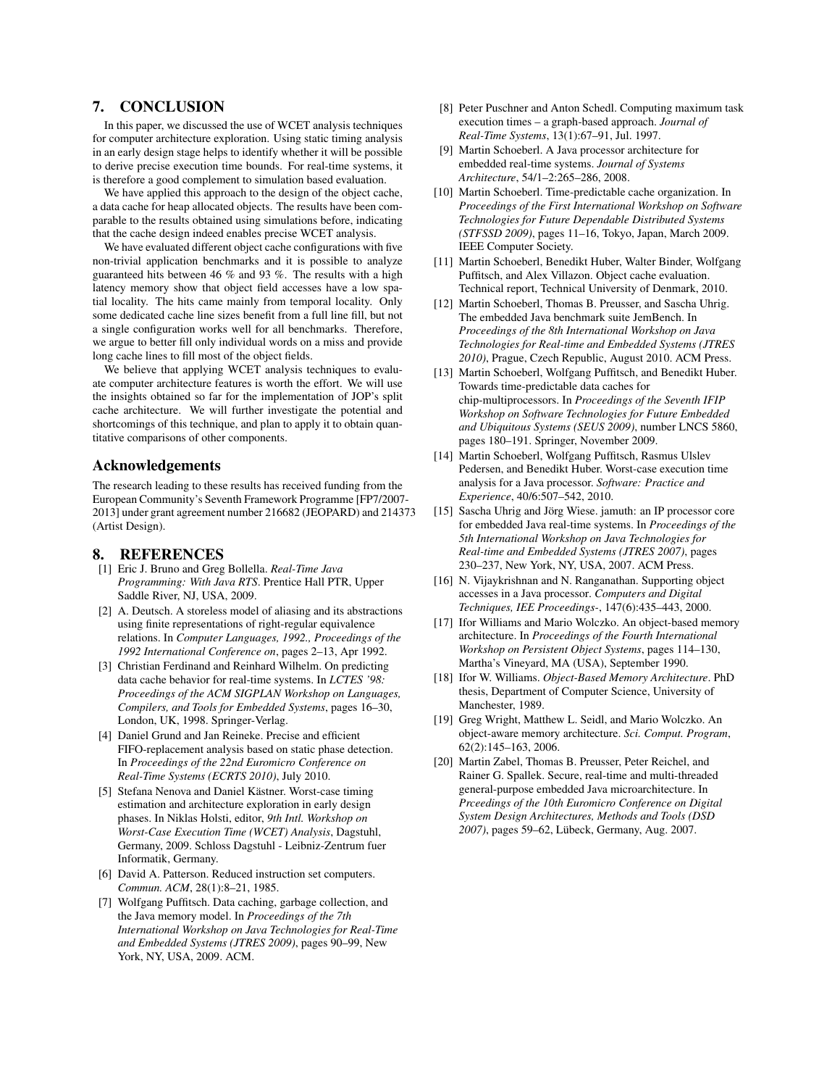## 7. CONCLUSION

In this paper, we discussed the use of WCET analysis techniques for computer architecture exploration. Using static timing analysis in an early design stage helps to identify whether it will be possible to derive precise execution time bounds. For real-time systems, it is therefore a good complement to simulation based evaluation.

We have applied this approach to the design of the object cache, a data cache for heap allocated objects. The results have been comparable to the results obtained using simulations before, indicating that the cache design indeed enables precise WCET analysis.

We have evaluated different object cache configurations with five non-trivial application benchmarks and it is possible to analyze guaranteed hits between 46 % and 93 %. The results with a high latency memory show that object field accesses have a low spatial locality. The hits came mainly from temporal locality. Only some dedicated cache line sizes benefit from a full line fill, but not a single configuration works well for all benchmarks. Therefore, we argue to better fill only individual words on a miss and provide long cache lines to fill most of the object fields.

We believe that applying WCET analysis techniques to evaluate computer architecture features is worth the effort. We will use the insights obtained so far for the implementation of JOP's split cache architecture. We will further investigate the potential and shortcomings of this technique, and plan to apply it to obtain quantitative comparisons of other components.

#### Acknowledgements

The research leading to these results has received funding from the European Community's Seventh Framework Programme [FP7/2007- 2013] under grant agreement number 216682 (JEOPARD) and 214373 (Artist Design).

#### 8. REFERENCES

- [1] Eric J. Bruno and Greg Bollella. *Real-Time Java Programming: With Java RTS*. Prentice Hall PTR, Upper Saddle River, NJ, USA, 2009.
- [2] A. Deutsch. A storeless model of aliasing and its abstractions using finite representations of right-regular equivalence relations. In *Computer Languages, 1992., Proceedings of the 1992 International Conference on*, pages 2–13, Apr 1992.
- [3] Christian Ferdinand and Reinhard Wilhelm. On predicting data cache behavior for real-time systems. In *LCTES '98: Proceedings of the ACM SIGPLAN Workshop on Languages, Compilers, and Tools for Embedded Systems*, pages 16–30, London, UK, 1998. Springer-Verlag.
- [4] Daniel Grund and Jan Reineke. Precise and efficient FIFO-replacement analysis based on static phase detection. In *Proceedings of the 22nd Euromicro Conference on Real-Time Systems (ECRTS 2010)*, July 2010.
- [5] Stefana Nenova and Daniel Kästner. Worst-case timing estimation and architecture exploration in early design phases. In Niklas Holsti, editor, *9th Intl. Workshop on Worst-Case Execution Time (WCET) Analysis*, Dagstuhl, Germany, 2009. Schloss Dagstuhl - Leibniz-Zentrum fuer Informatik, Germany.
- [6] David A. Patterson. Reduced instruction set computers. *Commun. ACM*, 28(1):8–21, 1985.
- [7] Wolfgang Puffitsch. Data caching, garbage collection, and the Java memory model. In *Proceedings of the 7th International Workshop on Java Technologies for Real-Time and Embedded Systems (JTRES 2009)*, pages 90–99, New York, NY, USA, 2009. ACM.
- [8] Peter Puschner and Anton Schedl. Computing maximum task execution times – a graph-based approach. *Journal of Real-Time Systems*, 13(1):67–91, Jul. 1997.
- [9] Martin Schoeberl. A Java processor architecture for embedded real-time systems. *Journal of Systems Architecture*, 54/1–2:265–286, 2008.
- [10] Martin Schoeberl. Time-predictable cache organization. In *Proceedings of the First International Workshop on Software Technologies for Future Dependable Distributed Systems (STFSSD 2009)*, pages 11–16, Tokyo, Japan, March 2009. IEEE Computer Society.
- [11] Martin Schoeberl, Benedikt Huber, Walter Binder, Wolfgang Puffitsch, and Alex Villazon. Object cache evaluation. Technical report, Technical University of Denmark, 2010.
- [12] Martin Schoeberl, Thomas B. Preusser, and Sascha Uhrig. The embedded Java benchmark suite JemBench. In *Proceedings of the 8th International Workshop on Java Technologies for Real-time and Embedded Systems (JTRES 2010)*, Prague, Czech Republic, August 2010. ACM Press.
- [13] Martin Schoeberl, Wolfgang Puffitsch, and Benedikt Huber. Towards time-predictable data caches for chip-multiprocessors. In *Proceedings of the Seventh IFIP Workshop on Software Technologies for Future Embedded and Ubiquitous Systems (SEUS 2009)*, number LNCS 5860, pages 180–191. Springer, November 2009.
- [14] Martin Schoeberl, Wolfgang Puffitsch, Rasmus Ulslev Pedersen, and Benedikt Huber. Worst-case execution time analysis for a Java processor. *Software: Practice and Experience*, 40/6:507–542, 2010.
- [15] Sascha Uhrig and Jörg Wiese. jamuth: an IP processor core for embedded Java real-time systems. In *Proceedings of the 5th International Workshop on Java Technologies for Real-time and Embedded Systems (JTRES 2007)*, pages 230–237, New York, NY, USA, 2007. ACM Press.
- [16] N. Vijaykrishnan and N. Ranganathan. Supporting object accesses in a Java processor. *Computers and Digital Techniques, IEE Proceedings-*, 147(6):435–443, 2000.
- [17] Ifor Williams and Mario Wolczko. An object-based memory architecture. In *Proceedings of the Fourth International Workshop on Persistent Object Systems*, pages 114–130, Martha's Vineyard, MA (USA), September 1990.
- [18] Ifor W. Williams. *Object-Based Memory Architecture*. PhD thesis, Department of Computer Science, University of Manchester, 1989.
- [19] Greg Wright, Matthew L. Seidl, and Mario Wolczko. An object-aware memory architecture. *Sci. Comput. Program*, 62(2):145–163, 2006.
- [20] Martin Zabel, Thomas B. Preusser, Peter Reichel, and Rainer G. Spallek. Secure, real-time and multi-threaded general-purpose embedded Java microarchitecture. In *Prceedings of the 10th Euromicro Conference on Digital System Design Architectures, Methods and Tools (DSD 2007)*, pages 59–62, Lübeck, Germany, Aug. 2007.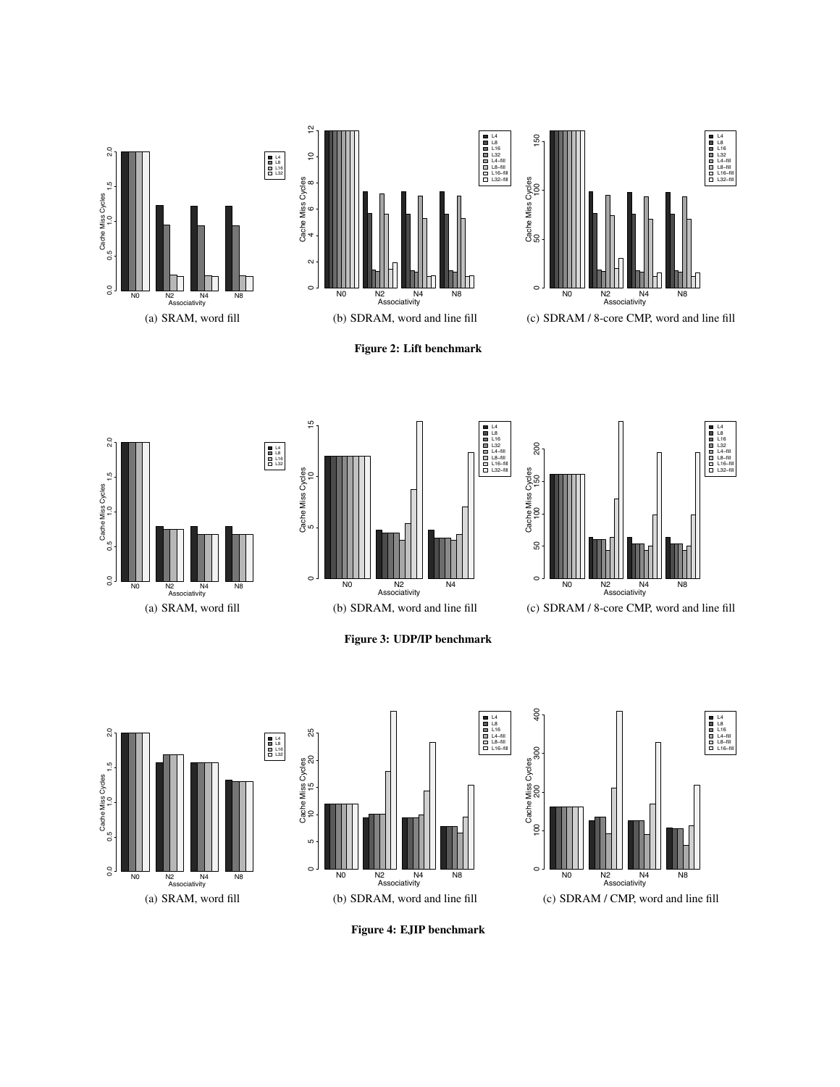













(c) SDRAM / 8-core CMP, word and line fill



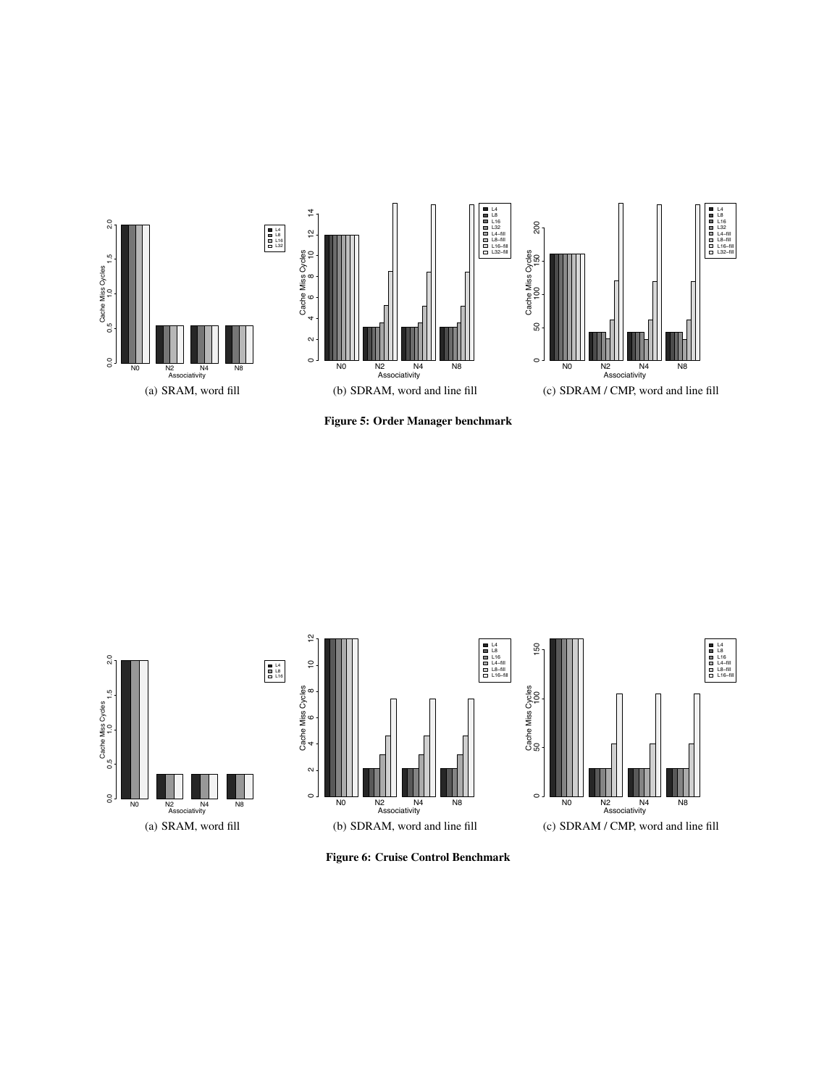

Figure 5: Order Manager benchmark



Figure 6: Cruise Control Benchmark